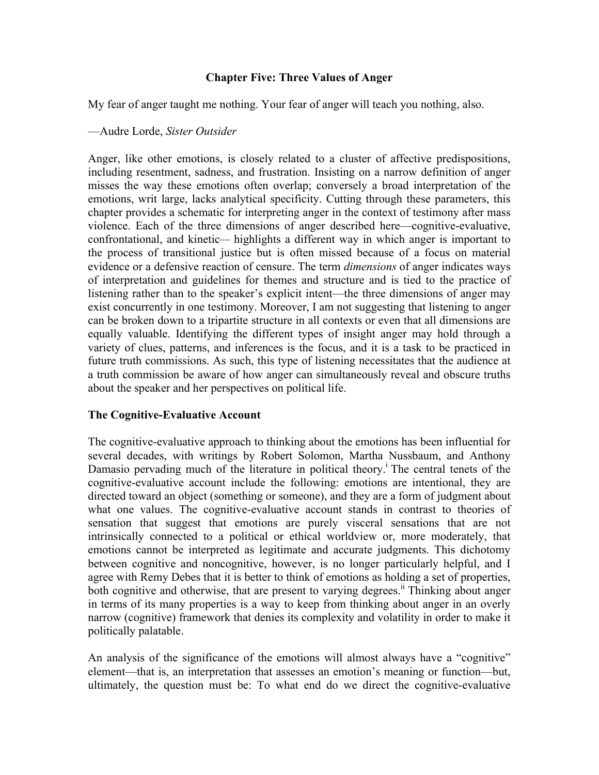## **Chapter Five: Three Values of Anger**

My fear of anger taught me nothing. Your fear of anger will teach you nothing, also.

### —Audre Lorde, *Sister Outsider*

Anger, like other emotions, is closely related to a cluster of affective predispositions, including resentment, sadness, and frustration. Insisting on a narrow definition of anger misses the way these emotions often overlap; conversely a broad interpretation of the emotions, writ large, lacks analytical specificity. Cutting through these parameters, this chapter provides a schematic for interpreting anger in the context of testimony after mass violence. Each of the three dimensions of anger described here—cognitive-evaluative, confrontational, and kinetic*—* highlights a different way in which anger is important to the process of transitional justice but is often missed because of a focus on material evidence or a defensive reaction of censure. The term *dimensions* of anger indicates ways of interpretation and guidelines for themes and structure and is tied to the practice of listening rather than to the speaker's explicit intent—the three dimensions of anger may exist concurrently in one testimony. Moreover, I am not suggesting that listening to anger can be broken down to a tripartite structure in all contexts or even that all dimensions are equally valuable. Identifying the different types of insight anger may hold through a variety of clues, patterns, and inferences is the focus, and it is a task to be practiced in future truth commissions. As such, this type of listening necessitates that the audience at a truth commission be aware of how anger can simultaneously reveal and obscure truths about the speaker and her perspectives on political life.

# **The Cognitive-Evaluative Account**

The cognitive-evaluative approach to thinking about the emotions has been influential for several decades, with writings by Robert Solomon, Martha Nussbaum, and Anthony Damasio pervading much of the literature in political theory.<sup>1</sup> The central tenets of the cognitive-evaluative account include the following: emotions are intentional, they are directed toward an object (something or someone), and they are a form of judgment about what one values. The cognitive-evaluative account stands in contrast to theories of sensation that suggest that emotions are purely visceral sensations that are not intrinsically connected to a political or ethical worldview or, more moderately, that emotions cannot be interpreted as legitimate and accurate judgments. This dichotomy between cognitive and noncognitive, however, is no longer particularly helpful, and I agree with Remy Debes that it is better to think of emotions as holding a set of properties, both cognitive and otherwise, that are present to varying degrees.<sup>"</sup> Thinking about anger in terms of its many properties is a way to keep from thinking about anger in an overly narrow (cognitive) framework that denies its complexity and volatility in order to make it politically palatable.

An analysis of the significance of the emotions will almost always have a "cognitive" element—that is, an interpretation that assesses an emotion's meaning or function—but, ultimately, the question must be: To what end do we direct the cognitive-evaluative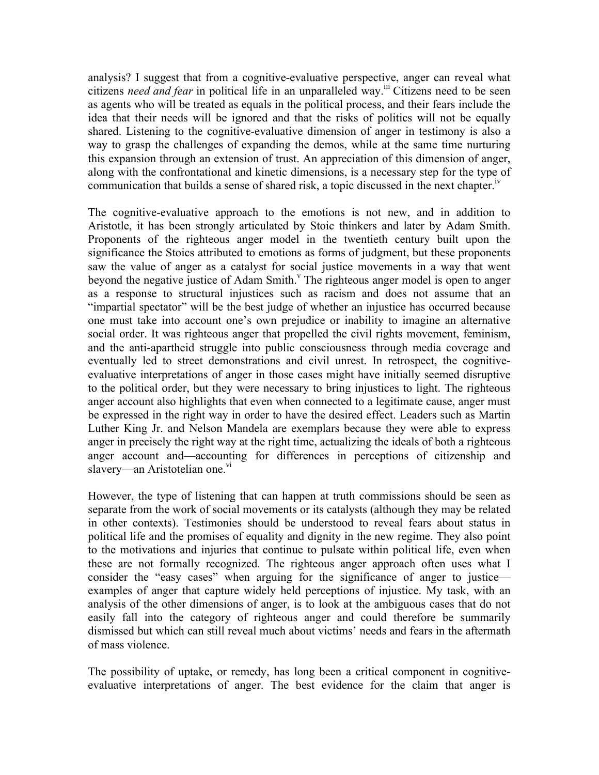analysis? I suggest that from a cognitive-evaluative perspective, anger can reveal what citizens *need and fear* in political life in an unparalleled way.<sup>III</sup> Citizens need to be seen as agents who will be treated as equals in the political process, and their fears include the idea that their needs will be ignored and that the risks of politics will not be equally shared. Listening to the cognitive-evaluative dimension of anger in testimony is also a way to grasp the challenges of expanding the demos, while at the same time nurturing this expansion through an extension of trust. An appreciation of this dimension of anger, along with the confrontational and kinetic dimensions, is a necessary step for the type of communication that builds a sense of shared risk, a topic discussed in the next chapter.<sup> $N$ </sup>

The cognitive-evaluative approach to the emotions is not new, and in addition to Aristotle, it has been strongly articulated by Stoic thinkers and later by Adam Smith. Proponents of the righteous anger model in the twentieth century built upon the significance the Stoics attributed to emotions as forms of judgment, but these proponents saw the value of anger as a catalyst for social justice movements in a way that went beyond the negative justice of Adam Smith.<sup>V</sup> The righteous anger model is open to anger as a response to structural injustices such as racism and does not assume that an "impartial spectator" will be the best judge of whether an injustice has occurred because one must take into account one's own prejudice or inability to imagine an alternative social order. It was righteous anger that propelled the civil rights movement, feminism, and the anti-apartheid struggle into public consciousness through media coverage and eventually led to street demonstrations and civil unrest. In retrospect, the cognitiveevaluative interpretations of anger in those cases might have initially seemed disruptive to the political order, but they were necessary to bring injustices to light. The righteous anger account also highlights that even when connected to a legitimate cause, anger must be expressed in the right way in order to have the desired effect. Leaders such as Martin Luther King Jr. and Nelson Mandela are exemplars because they were able to express anger in precisely the right way at the right time, actualizing the ideals of both a righteous anger account and—accounting for differences in perceptions of citizenship and slavery—an Aristotelian one.<sup>vi</sup>

However, the type of listening that can happen at truth commissions should be seen as separate from the work of social movements or its catalysts (although they may be related in other contexts). Testimonies should be understood to reveal fears about status in political life and the promises of equality and dignity in the new regime. They also point to the motivations and injuries that continue to pulsate within political life, even when these are not formally recognized. The righteous anger approach often uses what I consider the "easy cases" when arguing for the significance of anger to justice examples of anger that capture widely held perceptions of injustice. My task, with an analysis of the other dimensions of anger, is to look at the ambiguous cases that do not easily fall into the category of righteous anger and could therefore be summarily dismissed but which can still reveal much about victims' needs and fears in the aftermath of mass violence.

The possibility of uptake, or remedy, has long been a critical component in cognitiveevaluative interpretations of anger. The best evidence for the claim that anger is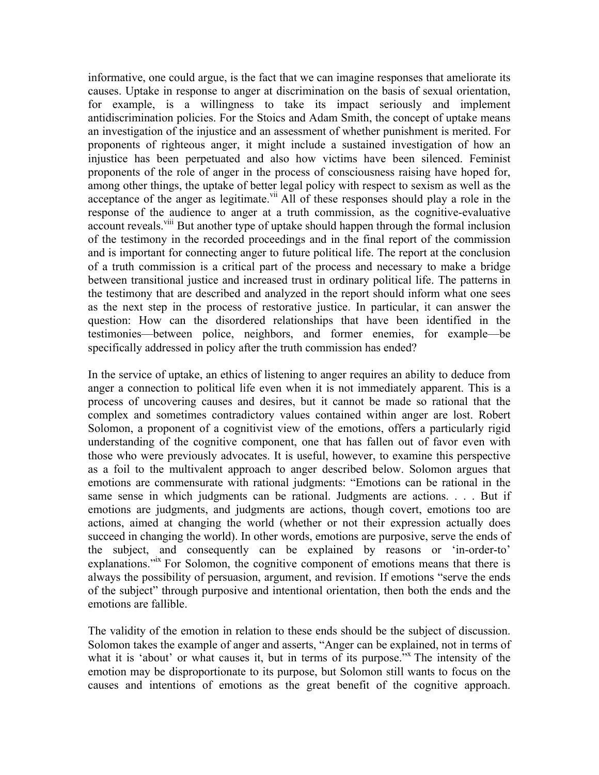informative, one could argue, is the fact that we can imagine responses that ameliorate its causes. Uptake in response to anger at discrimination on the basis of sexual orientation, for example, is a willingness to take its impact seriously and implement antidiscrimination policies. For the Stoics and Adam Smith, the concept of uptake means an investigation of the injustice and an assessment of whether punishment is merited. For proponents of righteous anger, it might include a sustained investigation of how an injustice has been perpetuated and also how victims have been silenced. Feminist proponents of the role of anger in the process of consciousness raising have hoped for, among other things, the uptake of better legal policy with respect to sexism as well as the acceptance of the anger as legitimate.<sup>vii</sup> All of these responses should play a role in the response of the audience to anger at a truth commission, as the cognitive-evaluative account reveals.<sup>viii</sup> But another type of uptake should happen through the formal inclusion of the testimony in the recorded proceedings and in the final report of the commission and is important for connecting anger to future political life. The report at the conclusion of a truth commission is a critical part of the process and necessary to make a bridge between transitional justice and increased trust in ordinary political life. The patterns in the testimony that are described and analyzed in the report should inform what one sees as the next step in the process of restorative justice. In particular, it can answer the question: How can the disordered relationships that have been identified in the testimonies—between police, neighbors, and former enemies, for example—be specifically addressed in policy after the truth commission has ended?

In the service of uptake, an ethics of listening to anger requires an ability to deduce from anger a connection to political life even when it is not immediately apparent. This is a process of uncovering causes and desires, but it cannot be made so rational that the complex and sometimes contradictory values contained within anger are lost. Robert Solomon, a proponent of a cognitivist view of the emotions, offers a particularly rigid understanding of the cognitive component, one that has fallen out of favor even with those who were previously advocates. It is useful, however, to examine this perspective as a foil to the multivalent approach to anger described below. Solomon argues that emotions are commensurate with rational judgments: "Emotions can be rational in the same sense in which judgments can be rational. Judgments are actions. . . . But if emotions are judgments, and judgments are actions, though covert, emotions too are actions, aimed at changing the world (whether or not their expression actually does succeed in changing the world). In other words, emotions are purposive, serve the ends of the subject, and consequently can be explained by reasons or 'in-order-to' explanations."ix For Solomon, the cognitive component of emotions means that there is always the possibility of persuasion, argument, and revision. If emotions "serve the ends of the subject" through purposive and intentional orientation, then both the ends and the emotions are fallible.

The validity of the emotion in relation to these ends should be the subject of discussion. Solomon takes the example of anger and asserts, "Anger can be explained, not in terms of what it is 'about' or what causes it, but in terms of its purpose."<sup>x</sup> The intensity of the emotion may be disproportionate to its purpose, but Solomon still wants to focus on the causes and intentions of emotions as the great benefit of the cognitive approach.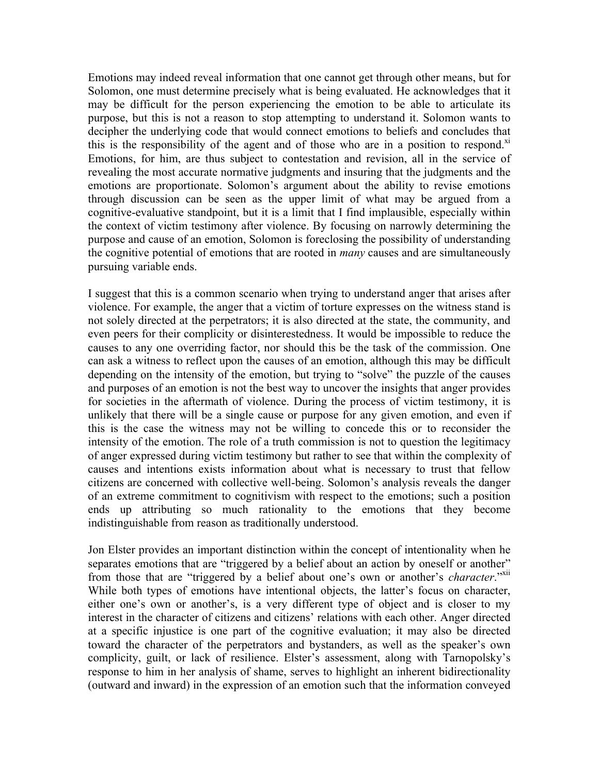Emotions may indeed reveal information that one cannot get through other means, but for Solomon, one must determine precisely what is being evaluated. He acknowledges that it may be difficult for the person experiencing the emotion to be able to articulate its purpose, but this is not a reason to stop attempting to understand it. Solomon wants to decipher the underlying code that would connect emotions to beliefs and concludes that this is the responsibility of the agent and of those who are in a position to respond. $X<sup>1</sup>$ Emotions, for him, are thus subject to contestation and revision, all in the service of revealing the most accurate normative judgments and insuring that the judgments and the emotions are proportionate. Solomon's argument about the ability to revise emotions through discussion can be seen as the upper limit of what may be argued from a cognitive-evaluative standpoint, but it is a limit that I find implausible, especially within the context of victim testimony after violence. By focusing on narrowly determining the purpose and cause of an emotion, Solomon is foreclosing the possibility of understanding the cognitive potential of emotions that are rooted in *many* causes and are simultaneously pursuing variable ends.

I suggest that this is a common scenario when trying to understand anger that arises after violence. For example, the anger that a victim of torture expresses on the witness stand is not solely directed at the perpetrators; it is also directed at the state, the community, and even peers for their complicity or disinterestedness. It would be impossible to reduce the causes to any one overriding factor, nor should this be the task of the commission. One can ask a witness to reflect upon the causes of an emotion, although this may be difficult depending on the intensity of the emotion, but trying to "solve" the puzzle of the causes and purposes of an emotion is not the best way to uncover the insights that anger provides for societies in the aftermath of violence. During the process of victim testimony, it is unlikely that there will be a single cause or purpose for any given emotion, and even if this is the case the witness may not be willing to concede this or to reconsider the intensity of the emotion. The role of a truth commission is not to question the legitimacy of anger expressed during victim testimony but rather to see that within the complexity of causes and intentions exists information about what is necessary to trust that fellow citizens are concerned with collective well-being. Solomon's analysis reveals the danger of an extreme commitment to cognitivism with respect to the emotions; such a position ends up attributing so much rationality to the emotions that they become indistinguishable from reason as traditionally understood.

Jon Elster provides an important distinction within the concept of intentionality when he separates emotions that are "triggered by a belief about an action by oneself or another" from those that are "triggered by a belief about one's own or another's *character*."<sup>xii</sup> While both types of emotions have intentional objects, the latter's focus on character, either one's own or another's, is a very different type of object and is closer to my interest in the character of citizens and citizens' relations with each other. Anger directed at a specific injustice is one part of the cognitive evaluation; it may also be directed toward the character of the perpetrators and bystanders, as well as the speaker's own complicity, guilt, or lack of resilience. Elster's assessment, along with Tarnopolsky's response to him in her analysis of shame, serves to highlight an inherent bidirectionality (outward and inward) in the expression of an emotion such that the information conveyed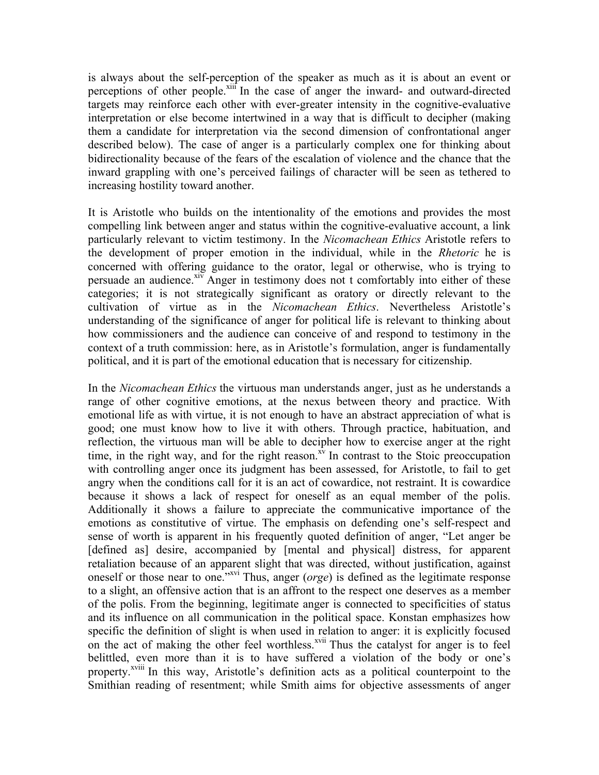is always about the self-perception of the speaker as much as it is about an event or perceptions of other people.<sup>xiii</sup> In the case of anger the inward- and outward-directed targets may reinforce each other with ever-greater intensity in the cognitive-evaluative interpretation or else become intertwined in a way that is difficult to decipher (making them a candidate for interpretation via the second dimension of confrontational anger described below). The case of anger is a particularly complex one for thinking about bidirectionality because of the fears of the escalation of violence and the chance that the inward grappling with one's perceived failings of character will be seen as tethered to increasing hostility toward another.

It is Aristotle who builds on the intentionality of the emotions and provides the most compelling link between anger and status within the cognitive-evaluative account, a link particularly relevant to victim testimony. In the *Nicomachean Ethics* Aristotle refers to the development of proper emotion in the individual, while in the *Rhetoric* he is concerned with offering guidance to the orator, legal or otherwise, who is trying to persuade an audience. $x_i$ <sup>iv</sup> Anger in testimony does not t comfortably into either of these categories; it is not strategically significant as oratory or directly relevant to the cultivation of virtue as in the *Nicomachean Ethics*. Nevertheless Aristotle's understanding of the significance of anger for political life is relevant to thinking about how commissioners and the audience can conceive of and respond to testimony in the context of a truth commission: here, as in Aristotle's formulation, anger is fundamentally political, and it is part of the emotional education that is necessary for citizenship.

In the *Nicomachean Ethics* the virtuous man understands anger, just as he understands a range of other cognitive emotions, at the nexus between theory and practice. With emotional life as with virtue, it is not enough to have an abstract appreciation of what is good; one must know how to live it with others. Through practice, habituation, and reflection, the virtuous man will be able to decipher how to exercise anger at the right time, in the right way, and for the right reason. $X<sup>XV</sup>$  In contrast to the Stoic preoccupation with controlling anger once its judgment has been assessed, for Aristotle, to fail to get angry when the conditions call for it is an act of cowardice, not restraint. It is cowardice because it shows a lack of respect for oneself as an equal member of the polis. Additionally it shows a failure to appreciate the communicative importance of the emotions as constitutive of virtue. The emphasis on defending one's self-respect and sense of worth is apparent in his frequently quoted definition of anger, "Let anger be [defined as] desire, accompanied by [mental and physical] distress, for apparent retaliation because of an apparent slight that was directed, without justification, against oneself or those near to one."xvi Thus, anger (*orge*) is defined as the legitimate response to a slight, an offensive action that is an affront to the respect one deserves as a member of the polis. From the beginning, legitimate anger is connected to specificities of status and its influence on all communication in the political space. Konstan emphasizes how specific the definition of slight is when used in relation to anger: it is explicitly focused on the act of making the other feel worthless.<sup>xvii</sup> Thus the catalyst for anger is to feel belittled, even more than it is to have suffered a violation of the body or one's property.<sup>xviii</sup> In this way, Aristotle's definition acts as a political counterpoint to the Smithian reading of resentment; while Smith aims for objective assessments of anger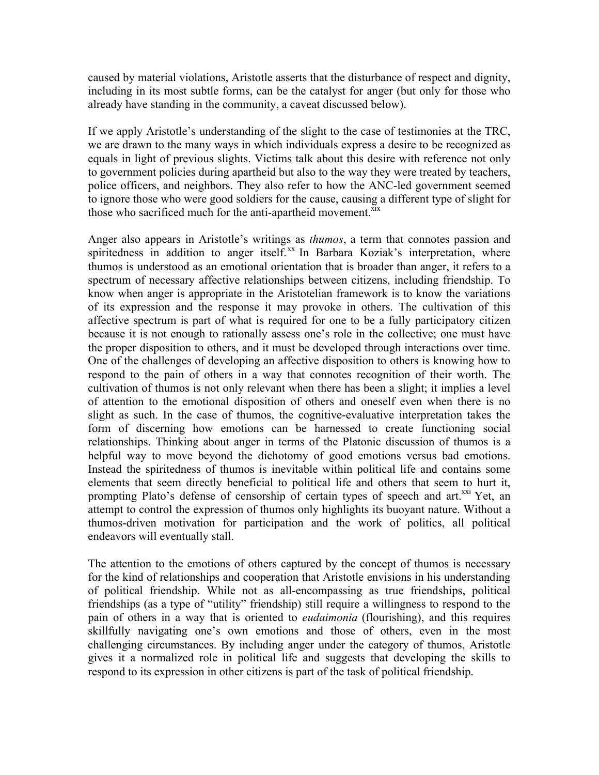caused by material violations, Aristotle asserts that the disturbance of respect and dignity, including in its most subtle forms, can be the catalyst for anger (but only for those who already have standing in the community, a caveat discussed below).

If we apply Aristotle's understanding of the slight to the case of testimonies at the TRC, we are drawn to the many ways in which individuals express a desire to be recognized as equals in light of previous slights. Victims talk about this desire with reference not only to government policies during apartheid but also to the way they were treated by teachers, police officers, and neighbors. They also refer to how the ANC-led government seemed to ignore those who were good soldiers for the cause, causing a different type of slight for those who sacrificed much for the anti-apartheid movement.<sup>xix</sup>

Anger also appears in Aristotle's writings as *thumos*, a term that connotes passion and spiritedness in addition to anger itself.<sup>xx</sup> In Barbara Koziak's interpretation, where thumos is understood as an emotional orientation that is broader than anger, it refers to a spectrum of necessary affective relationships between citizens, including friendship. To know when anger is appropriate in the Aristotelian framework is to know the variations of its expression and the response it may provoke in others. The cultivation of this affective spectrum is part of what is required for one to be a fully participatory citizen because it is not enough to rationally assess one's role in the collective; one must have the proper disposition to others, and it must be developed through interactions over time. One of the challenges of developing an affective disposition to others is knowing how to respond to the pain of others in a way that connotes recognition of their worth. The cultivation of thumos is not only relevant when there has been a slight; it implies a level of attention to the emotional disposition of others and oneself even when there is no slight as such. In the case of thumos, the cognitive-evaluative interpretation takes the form of discerning how emotions can be harnessed to create functioning social relationships. Thinking about anger in terms of the Platonic discussion of thumos is a helpful way to move beyond the dichotomy of good emotions versus bad emotions. Instead the spiritedness of thumos is inevitable within political life and contains some elements that seem directly beneficial to political life and others that seem to hurt it, prompting Plato's defense of censorship of certain types of speech and art.<sup>xxi</sup> Yet, an attempt to control the expression of thumos only highlights its buoyant nature. Without a thumos-driven motivation for participation and the work of politics, all political endeavors will eventually stall.

The attention to the emotions of others captured by the concept of thumos is necessary for the kind of relationships and cooperation that Aristotle envisions in his understanding of political friendship. While not as all-encompassing as true friendships, political friendships (as a type of "utility" friendship) still require a willingness to respond to the pain of others in a way that is oriented to *eudaimonia* (flourishing), and this requires skillfully navigating one's own emotions and those of others, even in the most challenging circumstances. By including anger under the category of thumos, Aristotle gives it a normalized role in political life and suggests that developing the skills to respond to its expression in other citizens is part of the task of political friendship.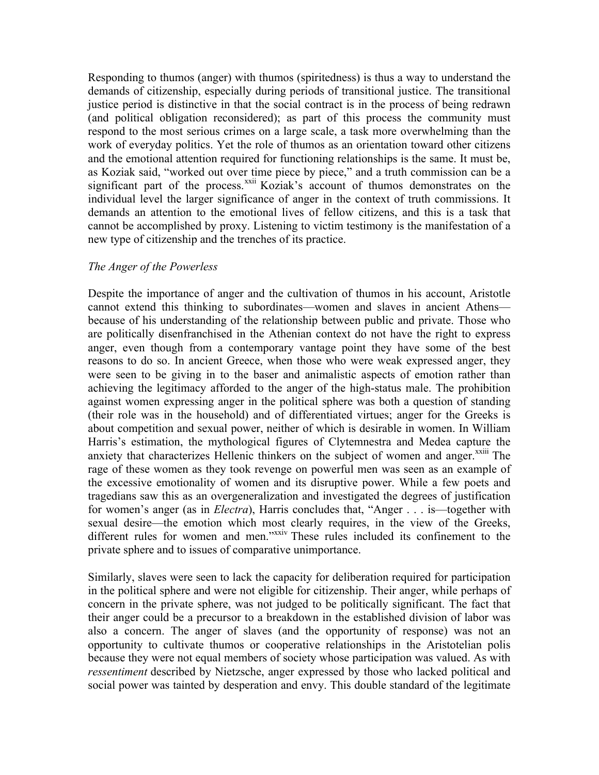Responding to thumos (anger) with thumos (spiritedness) is thus a way to understand the demands of citizenship, especially during periods of transitional justice. The transitional justice period is distinctive in that the social contract is in the process of being redrawn (and political obligation reconsidered); as part of this process the community must respond to the most serious crimes on a large scale, a task more overwhelming than the work of everyday politics. Yet the role of thumos as an orientation toward other citizens and the emotional attention required for functioning relationships is the same. It must be, as Koziak said, "worked out over time piece by piece," and a truth commission can be a significant part of the process.<sup>xxii</sup> Koziak's account of thumos demonstrates on the individual level the larger significance of anger in the context of truth commissions. It demands an attention to the emotional lives of fellow citizens, and this is a task that cannot be accomplished by proxy. Listening to victim testimony is the manifestation of a new type of citizenship and the trenches of its practice.

#### *The Anger of the Powerless*

Despite the importance of anger and the cultivation of thumos in his account, Aristotle cannot extend this thinking to subordinates—women and slaves in ancient Athens because of his understanding of the relationship between public and private. Those who are politically disenfranchised in the Athenian context do not have the right to express anger, even though from a contemporary vantage point they have some of the best reasons to do so. In ancient Greece, when those who were weak expressed anger, they were seen to be giving in to the baser and animalistic aspects of emotion rather than achieving the legitimacy afforded to the anger of the high-status male. The prohibition against women expressing anger in the political sphere was both a question of standing (their role was in the household) and of differentiated virtues; anger for the Greeks is about competition and sexual power, neither of which is desirable in women. In William Harris's estimation, the mythological figures of Clytemnestra and Medea capture the anxiety that characterizes Hellenic thinkers on the subject of women and anger.<sup>XXIII</sup> The rage of these women as they took revenge on powerful men was seen as an example of the excessive emotionality of women and its disruptive power. While a few poets and tragedians saw this as an overgeneralization and investigated the degrees of justification for women's anger (as in *Electra*), Harris concludes that, "Anger . . . is—together with sexual desire—the emotion which most clearly requires, in the view of the Greeks, different rules for women and men."<sup>xxiv</sup> These rules included its confinement to the private sphere and to issues of comparative unimportance.

Similarly, slaves were seen to lack the capacity for deliberation required for participation in the political sphere and were not eligible for citizenship. Their anger, while perhaps of concern in the private sphere, was not judged to be politically significant. The fact that their anger could be a precursor to a breakdown in the established division of labor was also a concern. The anger of slaves (and the opportunity of response) was not an opportunity to cultivate thumos or cooperative relationships in the Aristotelian polis because they were not equal members of society whose participation was valued. As with *ressentiment* described by Nietzsche, anger expressed by those who lacked political and social power was tainted by desperation and envy. This double standard of the legitimate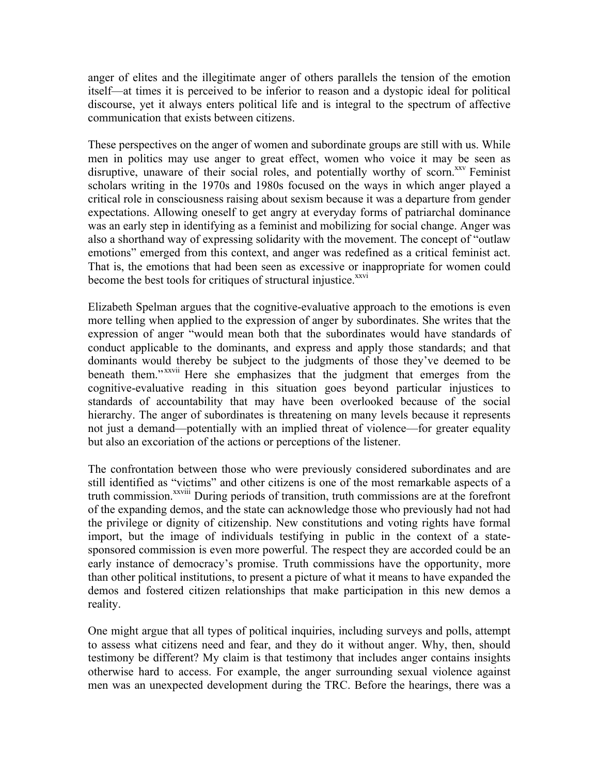anger of elites and the illegitimate anger of others parallels the tension of the emotion itself—at times it is perceived to be inferior to reason and a dystopic ideal for political discourse, yet it always enters political life and is integral to the spectrum of affective communication that exists between citizens.

These perspectives on the anger of women and subordinate groups are still with us. While men in politics may use anger to great effect, women who voice it may be seen as disruptive, unaware of their social roles, and potentially worthy of scorn.<sup>xxv</sup> Feminist scholars writing in the 1970s and 1980s focused on the ways in which anger played a critical role in consciousness raising about sexism because it was a departure from gender expectations. Allowing oneself to get angry at everyday forms of patriarchal dominance was an early step in identifying as a feminist and mobilizing for social change. Anger was also a shorthand way of expressing solidarity with the movement. The concept of "outlaw emotions" emerged from this context, and anger was redefined as a critical feminist act. That is, the emotions that had been seen as excessive or inappropriate for women could become the best tools for critiques of structural injustice.<sup>xxvi</sup>

Elizabeth Spelman argues that the cognitive-evaluative approach to the emotions is even more telling when applied to the expression of anger by subordinates. She writes that the expression of anger "would mean both that the subordinates would have standards of conduct applicable to the dominants, and express and apply those standards; and that dominants would thereby be subject to the judgments of those they've deemed to be beneath them."<sup>xxvii</sup> Here she emphasizes that the judgment that emerges from the cognitive-evaluative reading in this situation goes beyond particular injustices to standards of accountability that may have been overlooked because of the social hierarchy. The anger of subordinates is threatening on many levels because it represents not just a demand—potentially with an implied threat of violence—for greater equality but also an excoriation of the actions or perceptions of the listener.

The confrontation between those who were previously considered subordinates and are still identified as "victims" and other citizens is one of the most remarkable aspects of a truth commission.<sup>xxviii</sup> During periods of transition, truth commissions are at the forefront of the expanding demos, and the state can acknowledge those who previously had not had the privilege or dignity of citizenship. New constitutions and voting rights have formal import, but the image of individuals testifying in public in the context of a statesponsored commission is even more powerful. The respect they are accorded could be an early instance of democracy's promise. Truth commissions have the opportunity, more than other political institutions, to present a picture of what it means to have expanded the demos and fostered citizen relationships that make participation in this new demos a reality.

One might argue that all types of political inquiries, including surveys and polls, attempt to assess what citizens need and fear, and they do it without anger. Why, then, should testimony be different? My claim is that testimony that includes anger contains insights otherwise hard to access. For example, the anger surrounding sexual violence against men was an unexpected development during the TRC. Before the hearings, there was a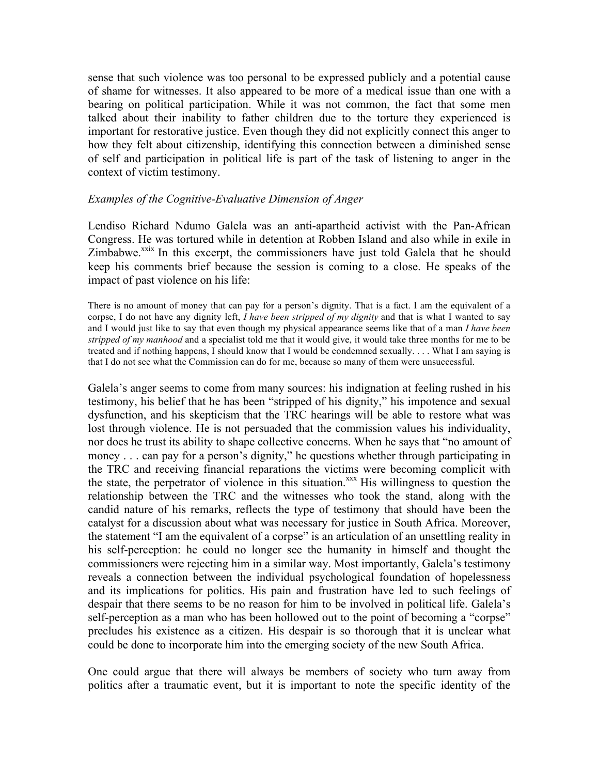sense that such violence was too personal to be expressed publicly and a potential cause of shame for witnesses. It also appeared to be more of a medical issue than one with a bearing on political participation. While it was not common, the fact that some men talked about their inability to father children due to the torture they experienced is important for restorative justice. Even though they did not explicitly connect this anger to how they felt about citizenship, identifying this connection between a diminished sense of self and participation in political life is part of the task of listening to anger in the context of victim testimony.

#### *Examples of the Cognitive-Evaluative Dimension of Anger*

Lendiso Richard Ndumo Galela was an anti-apartheid activist with the Pan-African Congress. He was tortured while in detention at Robben Island and also while in exile in Zimbabwe.<sup>xxix</sup> In this excerpt, the commissioners have just told Galela that he should keep his comments brief because the session is coming to a close. He speaks of the impact of past violence on his life:

There is no amount of money that can pay for a person's dignity. That is a fact. I am the equivalent of a corpse, I do not have any dignity left, *I have been stripped of my dignity* and that is what I wanted to say and I would just like to say that even though my physical appearance seems like that of a man *I have been stripped of my manhood* and a specialist told me that it would give, it would take three months for me to be treated and if nothing happens, I should know that I would be condemned sexually. . . . What I am saying is that I do not see what the Commission can do for me, because so many of them were unsuccessful.

Galela's anger seems to come from many sources: his indignation at feeling rushed in his testimony, his belief that he has been "stripped of his dignity," his impotence and sexual dysfunction, and his skepticism that the TRC hearings will be able to restore what was lost through violence. He is not persuaded that the commission values his individuality, nor does he trust its ability to shape collective concerns. When he says that "no amount of money . . . can pay for a person's dignity," he questions whether through participating in the TRC and receiving financial reparations the victims were becoming complicit with the state, the perpetrator of violence in this situation. $\frac{xx}{x}$  His willingness to question the relationship between the TRC and the witnesses who took the stand, along with the candid nature of his remarks, reflects the type of testimony that should have been the catalyst for a discussion about what was necessary for justice in South Africa. Moreover, the statement "I am the equivalent of a corpse" is an articulation of an unsettling reality in his self-perception: he could no longer see the humanity in himself and thought the commissioners were rejecting him in a similar way. Most importantly, Galela's testimony reveals a connection between the individual psychological foundation of hopelessness and its implications for politics. His pain and frustration have led to such feelings of despair that there seems to be no reason for him to be involved in political life. Galela's self-perception as a man who has been hollowed out to the point of becoming a "corpse" precludes his existence as a citizen. His despair is so thorough that it is unclear what could be done to incorporate him into the emerging society of the new South Africa.

One could argue that there will always be members of society who turn away from politics after a traumatic event, but it is important to note the specific identity of the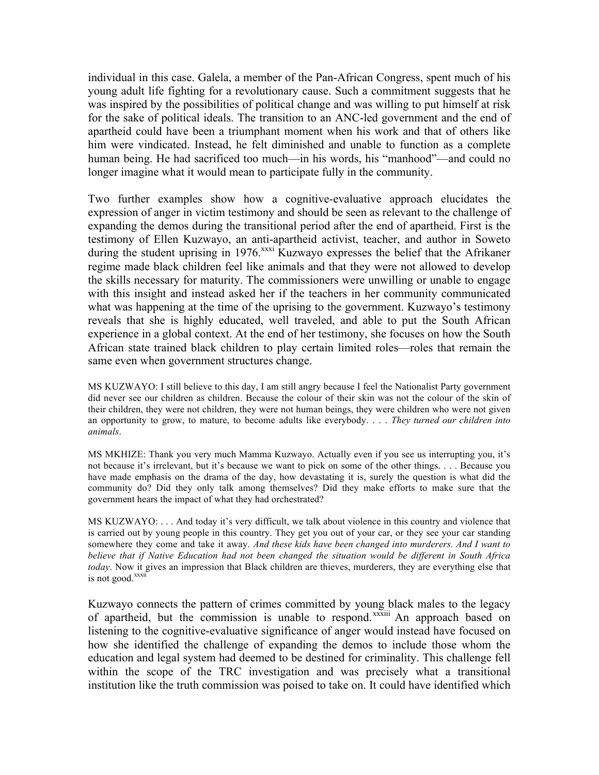individual in this case. Galela, a member of the Pan-African Congress, spent much of his young adult life fighting for a revolutionary cause. Such a commitment suggests that he was inspired by the possibilities of political change and was willing to put himself at risk for the sake of political ideals. The transition to an ANC-led government and the end of apartheid could have been a triumphant moment when his work and that of others like him were vindicated. Instead, he felt diminished and unable to function as a complete human being. He had sacrificed too much—in his words, his "manhood"—and could no longer imagine what it would mean to participate fully in the community.

Two further examples show how a cognitive-evaluative approach elucidates the expression of anger in victim testimony and should be seen as relevant to the challenge of expanding the demos during the transitional period after the end of apartheid. First is the testimony of Ellen Kuzwayo, an anti-apartheid activist, teacher, and author in Soweto during the student uprising in 1976.<sup>xxxi</sup> Kuzwayo expresses the belief that the Afrikaner regime made black children feel like animals and that they were not allowed to develop the skills necessary for maturity. The commissioners were unwilling or unable to engage with this insight and instead asked her if the teachers in her community communicated what was happening at the time of the uprising to the government. Kuzwayo's testimony reveals that she is highly educated, well traveled, and able to put the South African experience in a global context. At the end of her testimony, she focuses on how the South African state trained black children to play certain limited roles—roles that remain the same even when government structures change.

MS KUZWAYO: I still believe to this day, I am still angry because I feel the Nationalist Party government did never see our children as children. Because the colour of their skin was not the colour of the skin of their children, they were not children, they were not human beings, they were children who were not given an opportunity to grow, to mature, to become adults like everybody. . . . *They turned our children into animals*.

MS MKHIZE: Thank you very much Mamma Kuzwayo. Actually even if you see us interrupting you, it's not because it's irrelevant, but it's because we want to pick on some of the other things. . . . Because you have made emphasis on the drama of the day, how devastating it is, surely the question is what did the community do? Did they only talk among themselves? Did they make efforts to make sure that the government hears the impact of what they had orchestrated?

MS KUZWAYO: . . . And today it's very difficult, we talk about violence in this country and violence that is carried out by young people in this country. They get you out of your car, or they see your car standing somewhere they come and take it away. *And these kids have been changed into murderers. And I want to believe that if Native Education had not been changed the situation would be different in South Africa today*. Now it gives an impression that Black children are thieves, murderers, they are everything else that is not good.<sup>xxxii</sup>

Kuzwayo connects the pattern of crimes committed by young black males to the legacy of apartheid, but the commission is unable to respond.<sup>xxxiii</sup> An approach based on listening to the cognitive-evaluative significance of anger would instead have focused on how she identified the challenge of expanding the demos to include those whom the education and legal system had deemed to be destined for criminality. This challenge fell within the scope of the TRC investigation and was precisely what a transitional institution like the truth commission was poised to take on. It could have identified which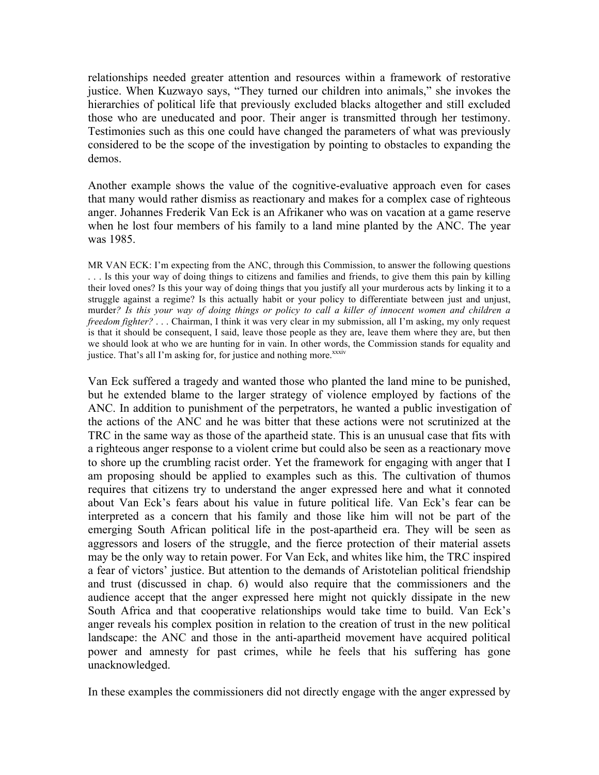relationships needed greater attention and resources within a framework of restorative justice. When Kuzwayo says, "They turned our children into animals," she invokes the hierarchies of political life that previously excluded blacks altogether and still excluded those who are uneducated and poor. Their anger is transmitted through her testimony. Testimonies such as this one could have changed the parameters of what was previously considered to be the scope of the investigation by pointing to obstacles to expanding the demos.

Another example shows the value of the cognitive-evaluative approach even for cases that many would rather dismiss as reactionary and makes for a complex case of righteous anger. Johannes Frederik Van Eck is an Afrikaner who was on vacation at a game reserve when he lost four members of his family to a land mine planted by the ANC. The year was 1985.

MR VAN ECK: I'm expecting from the ANC, through this Commission, to answer the following questions . . . Is this your way of doing things to citizens and families and friends, to give them this pain by killing their loved ones? Is this your way of doing things that you justify all your murderous acts by linking it to a struggle against a regime? Is this actually habit or your policy to differentiate between just and unjust, murder*? Is this your way of doing things or policy to call a killer of innocent women and children a freedom fighter?* . . . Chairman, I think it was very clear in my submission, all I'm asking, my only request is that it should be consequent, I said, leave those people as they are, leave them where they are, but then we should look at who we are hunting for in vain. In other words, the Commission stands for equality and justice. That's all I'm asking for, for justice and nothing more.<sup>xxxiv</sup>

Van Eck suffered a tragedy and wanted those who planted the land mine to be punished, but he extended blame to the larger strategy of violence employed by factions of the ANC. In addition to punishment of the perpetrators, he wanted a public investigation of the actions of the ANC and he was bitter that these actions were not scrutinized at the TRC in the same way as those of the apartheid state. This is an unusual case that fits with a righteous anger response to a violent crime but could also be seen as a reactionary move to shore up the crumbling racist order. Yet the framework for engaging with anger that I am proposing should be applied to examples such as this. The cultivation of thumos requires that citizens try to understand the anger expressed here and what it connoted about Van Eck's fears about his value in future political life. Van Eck's fear can be interpreted as a concern that his family and those like him will not be part of the emerging South African political life in the post-apartheid era. They will be seen as aggressors and losers of the struggle, and the fierce protection of their material assets may be the only way to retain power. For Van Eck, and whites like him, the TRC inspired a fear of victors' justice. But attention to the demands of Aristotelian political friendship and trust (discussed in chap. 6) would also require that the commissioners and the audience accept that the anger expressed here might not quickly dissipate in the new South Africa and that cooperative relationships would take time to build. Van Eck's anger reveals his complex position in relation to the creation of trust in the new political landscape: the ANC and those in the anti-apartheid movement have acquired political power and amnesty for past crimes, while he feels that his suffering has gone unacknowledged.

In these examples the commissioners did not directly engage with the anger expressed by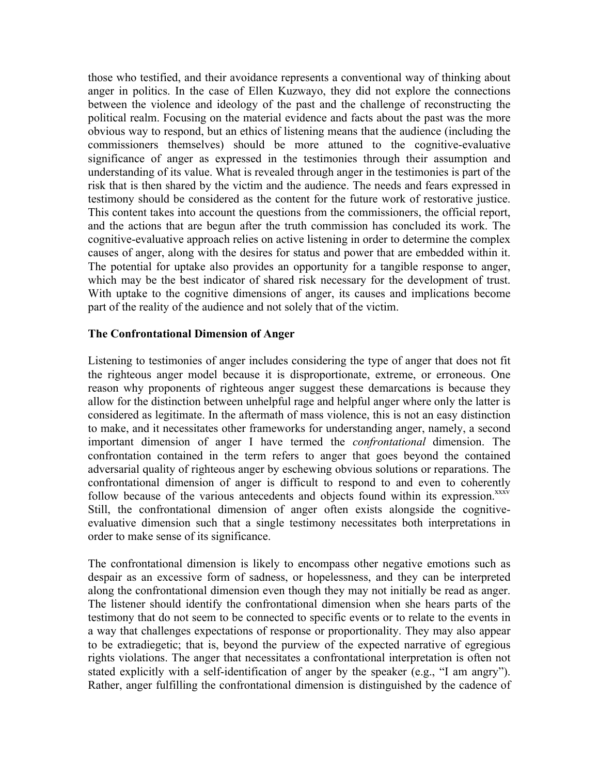those who testified, and their avoidance represents a conventional way of thinking about anger in politics. In the case of Ellen Kuzwayo, they did not explore the connections between the violence and ideology of the past and the challenge of reconstructing the political realm. Focusing on the material evidence and facts about the past was the more obvious way to respond, but an ethics of listening means that the audience (including the commissioners themselves) should be more attuned to the cognitive-evaluative significance of anger as expressed in the testimonies through their assumption and understanding of its value. What is revealed through anger in the testimonies is part of the risk that is then shared by the victim and the audience. The needs and fears expressed in testimony should be considered as the content for the future work of restorative justice. This content takes into account the questions from the commissioners, the official report, and the actions that are begun after the truth commission has concluded its work. The cognitive-evaluative approach relies on active listening in order to determine the complex causes of anger, along with the desires for status and power that are embedded within it. The potential for uptake also provides an opportunity for a tangible response to anger, which may be the best indicator of shared risk necessary for the development of trust. With uptake to the cognitive dimensions of anger, its causes and implications become part of the reality of the audience and not solely that of the victim.

#### **The Confrontational Dimension of Anger**

Listening to testimonies of anger includes considering the type of anger that does not fit the righteous anger model because it is disproportionate, extreme, or erroneous. One reason why proponents of righteous anger suggest these demarcations is because they allow for the distinction between unhelpful rage and helpful anger where only the latter is considered as legitimate. In the aftermath of mass violence, this is not an easy distinction to make, and it necessitates other frameworks for understanding anger, namely, a second important dimension of anger I have termed the *confrontational* dimension. The confrontation contained in the term refers to anger that goes beyond the contained adversarial quality of righteous anger by eschewing obvious solutions or reparations. The confrontational dimension of anger is difficult to respond to and even to coherently follow because of the various antecedents and objects found within its expression.<sup>xxxv</sup> Still, the confrontational dimension of anger often exists alongside the cognitiveevaluative dimension such that a single testimony necessitates both interpretations in order to make sense of its significance.

The confrontational dimension is likely to encompass other negative emotions such as despair as an excessive form of sadness, or hopelessness, and they can be interpreted along the confrontational dimension even though they may not initially be read as anger. The listener should identify the confrontational dimension when she hears parts of the testimony that do not seem to be connected to specific events or to relate to the events in a way that challenges expectations of response or proportionality. They may also appear to be extradiegetic; that is, beyond the purview of the expected narrative of egregious rights violations. The anger that necessitates a confrontational interpretation is often not stated explicitly with a self-identification of anger by the speaker (e.g., "I am angry"). Rather, anger fulfilling the confrontational dimension is distinguished by the cadence of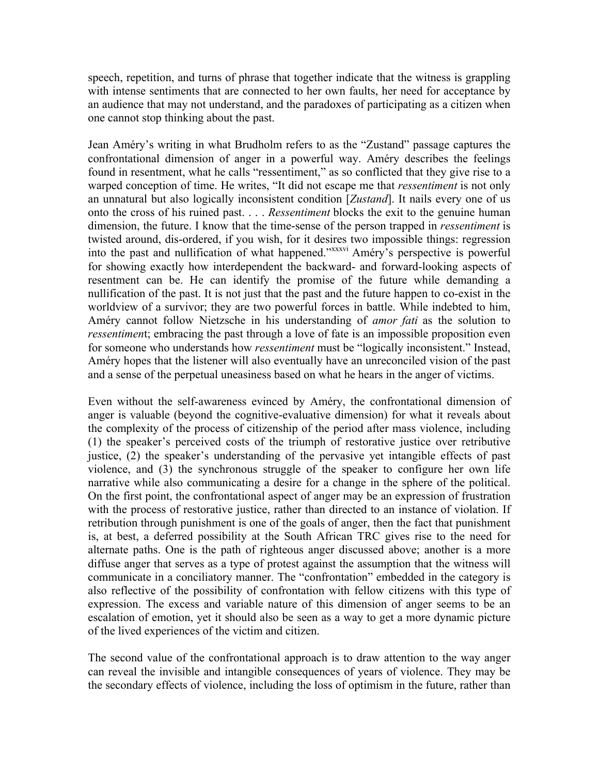speech, repetition, and turns of phrase that together indicate that the witness is grappling with intense sentiments that are connected to her own faults, her need for acceptance by an audience that may not understand, and the paradoxes of participating as a citizen when one cannot stop thinking about the past.

Jean Améry's writing in what Brudholm refers to as the "Zustand" passage captures the confrontational dimension of anger in a powerful way. Améry describes the feelings found in resentment, what he calls "ressentiment," as so conflicted that they give rise to a warped conception of time. He writes, "It did not escape me that *ressentiment* is not only an unnatural but also logically inconsistent condition [*Zustand*]. It nails every one of us onto the cross of his ruined past. . . . *Ressentiment* blocks the exit to the genuine human dimension, the future. I know that the time-sense of the person trapped in *ressentiment* is twisted around, dis-ordered, if you wish, for it desires two impossible things: regression into the past and nullification of what happened."xxxvi Améry's perspective is powerful for showing exactly how interdependent the backward- and forward-looking aspects of resentment can be. He can identify the promise of the future while demanding a nullification of the past. It is not just that the past and the future happen to co-exist in the worldview of a survivor; they are two powerful forces in battle. While indebted to him, Améry cannot follow Nietzsche in his understanding of *amor fati* as the solution to *ressentiment*; embracing the past through a love of fate is an impossible proposition even for someone who understands how *ressentiment* must be "logically inconsistent." Instead, Améry hopes that the listener will also eventually have an unreconciled vision of the past and a sense of the perpetual uneasiness based on what he hears in the anger of victims.

Even without the self-awareness evinced by Améry, the confrontational dimension of anger is valuable (beyond the cognitive-evaluative dimension) for what it reveals about the complexity of the process of citizenship of the period after mass violence, including (1) the speaker's perceived costs of the triumph of restorative justice over retributive justice, (2) the speaker's understanding of the pervasive yet intangible effects of past violence, and (3) the synchronous struggle of the speaker to configure her own life narrative while also communicating a desire for a change in the sphere of the political. On the first point, the confrontational aspect of anger may be an expression of frustration with the process of restorative justice, rather than directed to an instance of violation. If retribution through punishment is one of the goals of anger, then the fact that punishment is, at best, a deferred possibility at the South African TRC gives rise to the need for alternate paths. One is the path of righteous anger discussed above; another is a more diffuse anger that serves as a type of protest against the assumption that the witness will communicate in a conciliatory manner. The "confrontation" embedded in the category is also reflective of the possibility of confrontation with fellow citizens with this type of expression. The excess and variable nature of this dimension of anger seems to be an escalation of emotion, yet it should also be seen as a way to get a more dynamic picture of the lived experiences of the victim and citizen.

The second value of the confrontational approach is to draw attention to the way anger can reveal the invisible and intangible consequences of years of violence. They may be the secondary effects of violence, including the loss of optimism in the future, rather than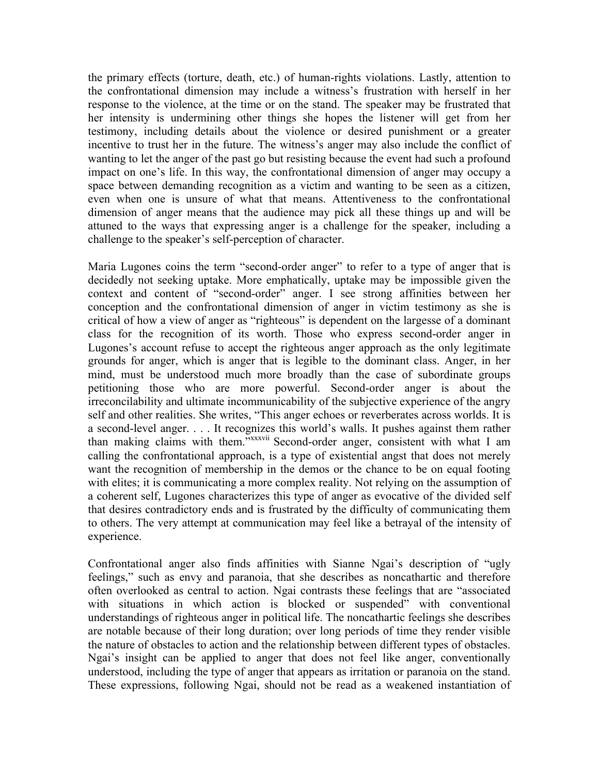the primary effects (torture, death, etc.) of human-rights violations. Lastly, attention to the confrontational dimension may include a witness's frustration with herself in her response to the violence, at the time or on the stand. The speaker may be frustrated that her intensity is undermining other things she hopes the listener will get from her testimony, including details about the violence or desired punishment or a greater incentive to trust her in the future. The witness's anger may also include the conflict of wanting to let the anger of the past go but resisting because the event had such a profound impact on one's life. In this way, the confrontational dimension of anger may occupy a space between demanding recognition as a victim and wanting to be seen as a citizen, even when one is unsure of what that means. Attentiveness to the confrontational dimension of anger means that the audience may pick all these things up and will be attuned to the ways that expressing anger is a challenge for the speaker, including a challenge to the speaker's self-perception of character.

Maria Lugones coins the term "second-order anger" to refer to a type of anger that is decidedly not seeking uptake. More emphatically, uptake may be impossible given the context and content of "second-order" anger. I see strong affinities between her conception and the confrontational dimension of anger in victim testimony as she is critical of how a view of anger as "righteous" is dependent on the largesse of a dominant class for the recognition of its worth. Those who express second-order anger in Lugones's account refuse to accept the righteous anger approach as the only legitimate grounds for anger, which is anger that is legible to the dominant class. Anger, in her mind, must be understood much more broadly than the case of subordinate groups petitioning those who are more powerful. Second-order anger is about the irreconcilability and ultimate incommunicability of the subjective experience of the angry self and other realities. She writes, "This anger echoes or reverberates across worlds. It is a second-level anger. . . . It recognizes this world's walls. It pushes against them rather than making claims with them.<sup>"xxxvii</sup> Second-order anger, consistent with what I am calling the confrontational approach, is a type of existential angst that does not merely want the recognition of membership in the demos or the chance to be on equal footing with elites; it is communicating a more complex reality. Not relying on the assumption of a coherent self, Lugones characterizes this type of anger as evocative of the divided self that desires contradictory ends and is frustrated by the difficulty of communicating them to others. The very attempt at communication may feel like a betrayal of the intensity of experience.

Confrontational anger also finds affinities with Sianne Ngai's description of "ugly feelings," such as envy and paranoia, that she describes as noncathartic and therefore often overlooked as central to action. Ngai contrasts these feelings that are "associated with situations in which action is blocked or suspended" with conventional understandings of righteous anger in political life. The noncathartic feelings she describes are notable because of their long duration; over long periods of time they render visible the nature of obstacles to action and the relationship between different types of obstacles. Ngai's insight can be applied to anger that does not feel like anger, conventionally understood, including the type of anger that appears as irritation or paranoia on the stand. These expressions, following Ngai, should not be read as a weakened instantiation of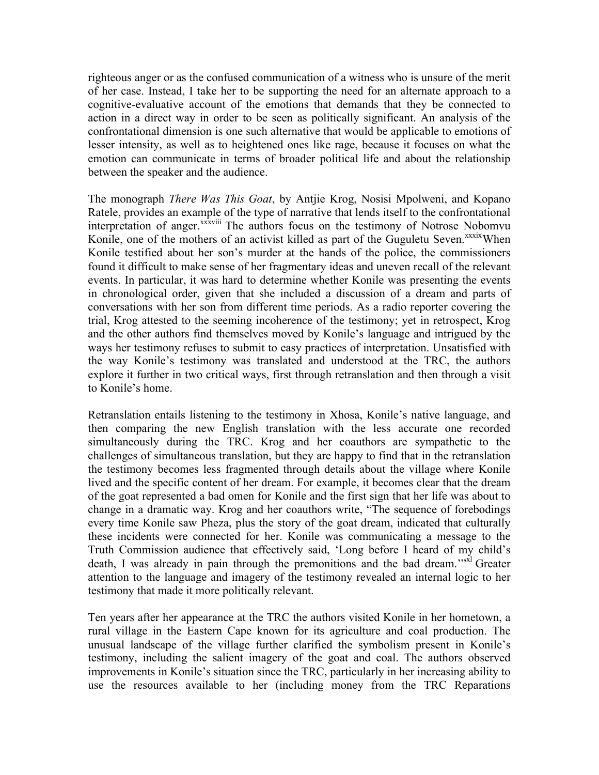righteous anger or as the confused communication of a witness who is unsure of the merit of her case. Instead, I take her to be supporting the need for an alternate approach to a cognitive-evaluative account of the emotions that demands that they be connected to action in a direct way in order to be seen as politically significant. An analysis of the confrontational dimension is one such alternative that would be applicable to emotions of lesser intensity, as well as to heightened ones like rage, because it focuses on what the emotion can communicate in terms of broader political life and about the relationship between the speaker and the audience.

The monograph *There Was This Goat*, by Antjie Krog, Nosisi Mpolweni, and Kopano Ratele, provides an example of the type of narrative that lends itself to the confrontational interpretation of anger.<sup>xxxviii</sup> The authors focus on the testimony of Notrose Nobomvu Konile, one of the mothers of an activist killed as part of the Guguletu Seven.<sup>xxxix</sup>When Konile testified about her son's murder at the hands of the police, the commissioners found it difficult to make sense of her fragmentary ideas and uneven recall of the relevant events. In particular, it was hard to determine whether Konile was presenting the events in chronological order, given that she included a discussion of a dream and parts of conversations with her son from different time periods. As a radio reporter covering the trial, Krog attested to the seeming incoherence of the testimony; yet in retrospect, Krog and the other authors find themselves moved by Konile's language and intrigued by the ways her testimony refuses to submit to easy practices of interpretation. Unsatisfied with the way Konile's testimony was translated and understood at the TRC, the authors explore it further in two critical ways, first through retranslation and then through a visit to Konile's home.

Retranslation entails listening to the testimony in Xhosa, Konile's native language, and then comparing the new English translation with the less accurate one recorded simultaneously during the TRC. Krog and her coauthors are sympathetic to the challenges of simultaneous translation, but they are happy to find that in the retranslation the testimony becomes less fragmented through details about the village where Konile lived and the specific content of her dream. For example, it becomes clear that the dream of the goat represented a bad omen for Konile and the first sign that her life was about to change in a dramatic way. Krog and her coauthors write, "The sequence of forebodings every time Konile saw Pheza, plus the story of the goat dream, indicated that culturally these incidents were connected for her. Konile was communicating a message to the Truth Commission audience that effectively said, 'Long before I heard of my child's death, I was already in pain through the premonitions and the bad dream."<sup>xl</sup> Greater attention to the language and imagery of the testimony revealed an internal logic to her testimony that made it more politically relevant.

Ten years after her appearance at the TRC the authors visited Konile in her hometown, a rural village in the Eastern Cape known for its agriculture and coal production. The unusual landscape of the village further clarified the symbolism present in Konile's testimony, including the salient imagery of the goat and coal. The authors observed improvements in Konile's situation since the TRC, particularly in her increasing ability to use the resources available to her (including money from the TRC Reparations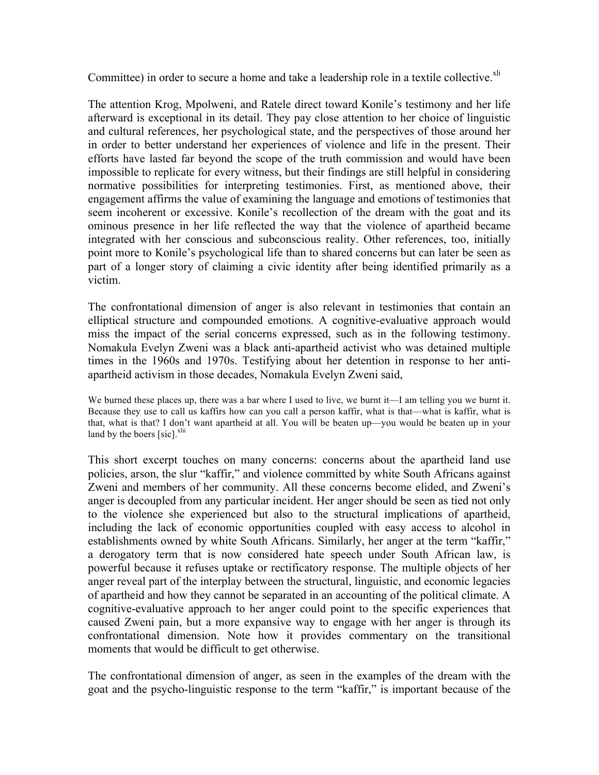Committee) in order to secure a home and take a leadership role in a textile collective.<sup>xli</sup>

The attention Krog, Mpolweni, and Ratele direct toward Konile's testimony and her life afterward is exceptional in its detail. They pay close attention to her choice of linguistic and cultural references, her psychological state, and the perspectives of those around her in order to better understand her experiences of violence and life in the present. Their efforts have lasted far beyond the scope of the truth commission and would have been impossible to replicate for every witness, but their findings are still helpful in considering normative possibilities for interpreting testimonies. First, as mentioned above, their engagement affirms the value of examining the language and emotions of testimonies that seem incoherent or excessive. Konile's recollection of the dream with the goat and its ominous presence in her life reflected the way that the violence of apartheid became integrated with her conscious and subconscious reality. Other references, too, initially point more to Konile's psychological life than to shared concerns but can later be seen as part of a longer story of claiming a civic identity after being identified primarily as a victim.

The confrontational dimension of anger is also relevant in testimonies that contain an elliptical structure and compounded emotions. A cognitive-evaluative approach would miss the impact of the serial concerns expressed, such as in the following testimony. Nomakula Evelyn Zweni was a black anti-apartheid activist who was detained multiple times in the 1960s and 1970s. Testifying about her detention in response to her antiapartheid activism in those decades, Nomakula Evelyn Zweni said,

We burned these places up, there was a bar where I used to live, we burnt it—I am telling you we burnt it. Because they use to call us kaffirs how can you call a person kaffir, what is that—what is kaffir, what is that, what is that? I don't want apartheid at all. You will be beaten up—you would be beaten up in your land by the boers [sic].<sup>xlii</sup>

This short excerpt touches on many concerns: concerns about the apartheid land use policies, arson, the slur "kaffir," and violence committed by white South Africans against Zweni and members of her community. All these concerns become elided, and Zweni's anger is decoupled from any particular incident. Her anger should be seen as tied not only to the violence she experienced but also to the structural implications of apartheid, including the lack of economic opportunities coupled with easy access to alcohol in establishments owned by white South Africans. Similarly, her anger at the term "kaffir," a derogatory term that is now considered hate speech under South African law, is powerful because it refuses uptake or rectificatory response. The multiple objects of her anger reveal part of the interplay between the structural, linguistic, and economic legacies of apartheid and how they cannot be separated in an accounting of the political climate. A cognitive-evaluative approach to her anger could point to the specific experiences that caused Zweni pain, but a more expansive way to engage with her anger is through its confrontational dimension. Note how it provides commentary on the transitional moments that would be difficult to get otherwise.

The confrontational dimension of anger, as seen in the examples of the dream with the goat and the psycho-linguistic response to the term "kaffir," is important because of the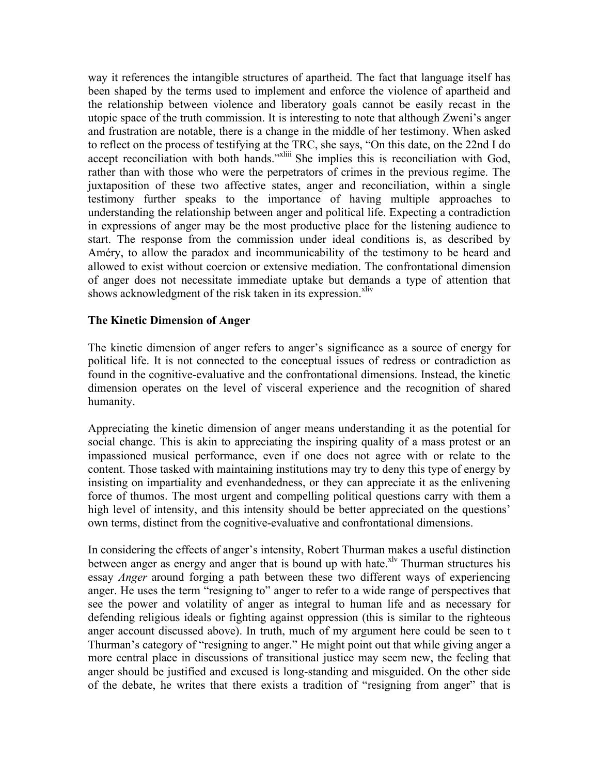way it references the intangible structures of apartheid. The fact that language itself has been shaped by the terms used to implement and enforce the violence of apartheid and the relationship between violence and liberatory goals cannot be easily recast in the utopic space of the truth commission. It is interesting to note that although Zweni's anger and frustration are notable, there is a change in the middle of her testimony. When asked to reflect on the process of testifying at the TRC, she says, "On this date, on the 22nd I do accept reconciliation with both hands."<sup>xliii</sup> She implies this is reconciliation with God, rather than with those who were the perpetrators of crimes in the previous regime. The juxtaposition of these two affective states, anger and reconciliation, within a single testimony further speaks to the importance of having multiple approaches to understanding the relationship between anger and political life. Expecting a contradiction in expressions of anger may be the most productive place for the listening audience to start. The response from the commission under ideal conditions is, as described by Améry, to allow the paradox and incommunicability of the testimony to be heard and allowed to exist without coercion or extensive mediation. The confrontational dimension of anger does not necessitate immediate uptake but demands a type of attention that shows acknowledgment of the risk taken in its expression.<sup>xliv</sup>

#### **The Kinetic Dimension of Anger**

The kinetic dimension of anger refers to anger's significance as a source of energy for political life. It is not connected to the conceptual issues of redress or contradiction as found in the cognitive-evaluative and the confrontational dimensions. Instead, the kinetic dimension operates on the level of visceral experience and the recognition of shared humanity.

Appreciating the kinetic dimension of anger means understanding it as the potential for social change. This is akin to appreciating the inspiring quality of a mass protest or an impassioned musical performance, even if one does not agree with or relate to the content. Those tasked with maintaining institutions may try to deny this type of energy by insisting on impartiality and evenhandedness, or they can appreciate it as the enlivening force of thumos. The most urgent and compelling political questions carry with them a high level of intensity, and this intensity should be better appreciated on the questions' own terms, distinct from the cognitive-evaluative and confrontational dimensions.

In considering the effects of anger's intensity, Robert Thurman makes a useful distinction between anger as energy and anger that is bound up with hate.<sup> $x/v$ </sup> Thurman structures his essay *Anger* around forging a path between these two different ways of experiencing anger. He uses the term "resigning to" anger to refer to a wide range of perspectives that see the power and volatility of anger as integral to human life and as necessary for defending religious ideals or fighting against oppression (this is similar to the righteous anger account discussed above). In truth, much of my argument here could be seen to t Thurman's category of "resigning to anger." He might point out that while giving anger a more central place in discussions of transitional justice may seem new, the feeling that anger should be justified and excused is long-standing and misguided. On the other side of the debate, he writes that there exists a tradition of "resigning from anger" that is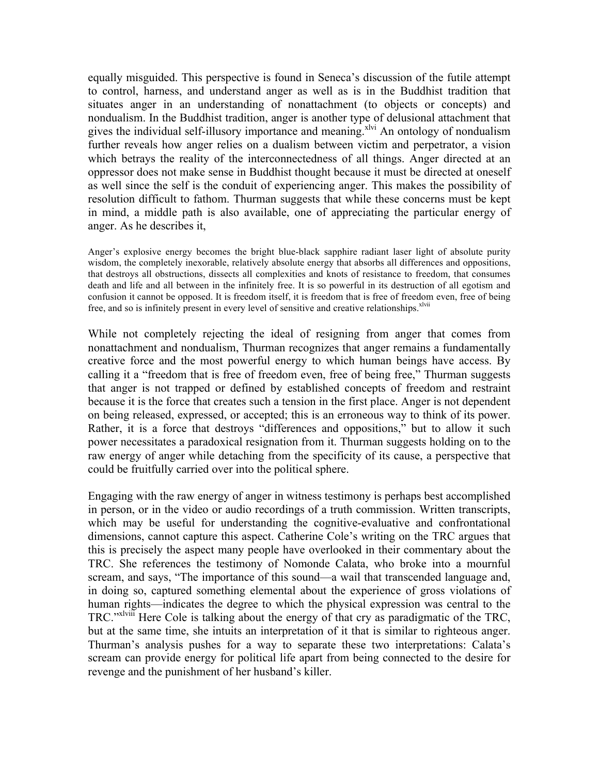equally misguided. This perspective is found in Seneca's discussion of the futile attempt to control, harness, and understand anger as well as is in the Buddhist tradition that situates anger in an understanding of nonattachment (to objects or concepts) and nondualism. In the Buddhist tradition, anger is another type of delusional attachment that gives the individual self-illusory importance and meaning.<sup>xlvi</sup> An ontology of nondualism further reveals how anger relies on a dualism between victim and perpetrator, a vision which betrays the reality of the interconnectedness of all things. Anger directed at an oppressor does not make sense in Buddhist thought because it must be directed at oneself as well since the self is the conduit of experiencing anger. This makes the possibility of resolution difficult to fathom. Thurman suggests that while these concerns must be kept in mind, a middle path is also available, one of appreciating the particular energy of anger. As he describes it,

Anger's explosive energy becomes the bright blue-black sapphire radiant laser light of absolute purity wisdom, the completely inexorable, relatively absolute energy that absorbs all differences and oppositions, that destroys all obstructions, dissects all complexities and knots of resistance to freedom, that consumes death and life and all between in the infinitely free. It is so powerful in its destruction of all egotism and confusion it cannot be opposed. It is freedom itself, it is freedom that is free of freedom even, free of being free, and so is infinitely present in every level of sensitive and creative relationships.<sup>xlvii</sup>

While not completely rejecting the ideal of resigning from anger that comes from nonattachment and nondualism, Thurman recognizes that anger remains a fundamentally creative force and the most powerful energy to which human beings have access. By calling it a "freedom that is free of freedom even, free of being free," Thurman suggests that anger is not trapped or defined by established concepts of freedom and restraint because it is the force that creates such a tension in the first place. Anger is not dependent on being released, expressed, or accepted; this is an erroneous way to think of its power. Rather, it is a force that destroys "differences and oppositions," but to allow it such power necessitates a paradoxical resignation from it. Thurman suggests holding on to the raw energy of anger while detaching from the specificity of its cause, a perspective that could be fruitfully carried over into the political sphere.

Engaging with the raw energy of anger in witness testimony is perhaps best accomplished in person, or in the video or audio recordings of a truth commission. Written transcripts, which may be useful for understanding the cognitive-evaluative and confrontational dimensions, cannot capture this aspect. Catherine Cole's writing on the TRC argues that this is precisely the aspect many people have overlooked in their commentary about the TRC. She references the testimony of Nomonde Calata, who broke into a mournful scream, and says, "The importance of this sound—a wail that transcended language and, in doing so, captured something elemental about the experience of gross violations of human rights—indicates the degree to which the physical expression was central to the TRC."xlviii Here Cole is talking about the energy of that cry as paradigmatic of the TRC, but at the same time, she intuits an interpretation of it that is similar to righteous anger. Thurman's analysis pushes for a way to separate these two interpretations: Calata's scream can provide energy for political life apart from being connected to the desire for revenge and the punishment of her husband's killer.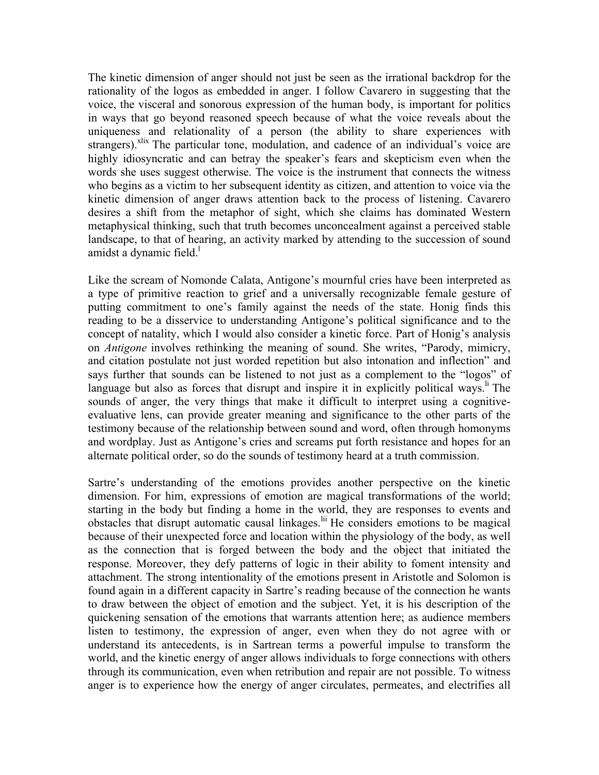The kinetic dimension of anger should not just be seen as the irrational backdrop for the rationality of the logos as embedded in anger. I follow Cavarero in suggesting that the voice, the visceral and sonorous expression of the human body, is important for politics in ways that go beyond reasoned speech because of what the voice reveals about the uniqueness and relationality of a person (the ability to share experiences with strangers).<sup>xlix</sup> The particular tone, modulation, and cadence of an individual's voice are highly idiosyncratic and can betray the speaker's fears and skepticism even when the words she uses suggest otherwise. The voice is the instrument that connects the witness who begins as a victim to her subsequent identity as citizen, and attention to voice via the kinetic dimension of anger draws attention back to the process of listening. Cavarero desires a shift from the metaphor of sight, which she claims has dominated Western metaphysical thinking, such that truth becomes unconcealment against a perceived stable landscape, to that of hearing, an activity marked by attending to the succession of sound amidst a dynamic field. $\frac{1}{1}$ 

Like the scream of Nomonde Calata, Antigone's mournful cries have been interpreted as a type of primitive reaction to grief and a universally recognizable female gesture of putting commitment to one's family against the needs of the state. Honig finds this reading to be a disservice to understanding Antigone's political significance and to the concept of natality, which I would also consider a kinetic force. Part of Honig's analysis on *Antigone* involves rethinking the meaning of sound. She writes, "Parody, mimicry, and citation postulate not just worded repetition but also intonation and inflection" and says further that sounds can be listened to not just as a complement to the "logos" of language but also as forces that disrupt and inspire it in explicitly political ways.<sup>li</sup> The sounds of anger, the very things that make it difficult to interpret using a cognitiveevaluative lens, can provide greater meaning and significance to the other parts of the testimony because of the relationship between sound and word, often through homonyms and wordplay. Just as Antigone's cries and screams put forth resistance and hopes for an alternate political order, so do the sounds of testimony heard at a truth commission.

Sartre's understanding of the emotions provides another perspective on the kinetic dimension. For him, expressions of emotion are magical transformations of the world; starting in the body but finding a home in the world, they are responses to events and obstacles that disrupt automatic causal linkages.lii He considers emotions to be magical because of their unexpected force and location within the physiology of the body, as well as the connection that is forged between the body and the object that initiated the response. Moreover, they defy patterns of logic in their ability to foment intensity and attachment. The strong intentionality of the emotions present in Aristotle and Solomon is found again in a different capacity in Sartre's reading because of the connection he wants to draw between the object of emotion and the subject. Yet, it is his description of the quickening sensation of the emotions that warrants attention here; as audience members listen to testimony, the expression of anger, even when they do not agree with or understand its antecedents, is in Sartrean terms a powerful impulse to transform the world, and the kinetic energy of anger allows individuals to forge connections with others through its communication, even when retribution and repair are not possible. To witness anger is to experience how the energy of anger circulates, permeates, and electrifies all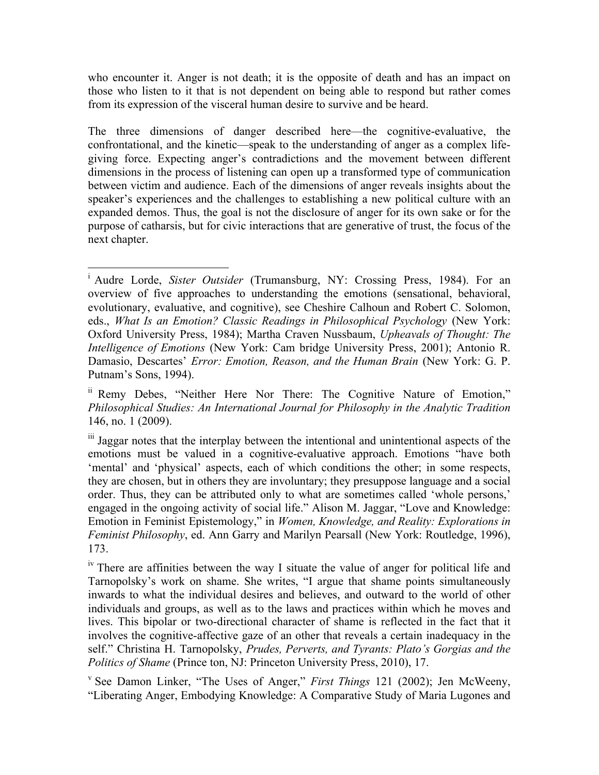who encounter it. Anger is not death; it is the opposite of death and has an impact on those who listen to it that is not dependent on being able to respond but rather comes from its expression of the visceral human desire to survive and be heard.

The three dimensions of danger described here—the cognitive-evaluative, the confrontational, and the kinetic—speak to the understanding of anger as a complex lifegiving force. Expecting anger's contradictions and the movement between different dimensions in the process of listening can open up a transformed type of communication between victim and audience. Each of the dimensions of anger reveals insights about the speaker's experiences and the challenges to establishing a new political culture with an expanded demos. Thus, the goal is not the disclosure of anger for its own sake or for the purpose of catharsis, but for civic interactions that are generative of trust, the focus of the next chapter.

<sup>&</sup>lt;sup>i</sup> Audre Lorde, *Sister Outsider* (Trumansburg, NY: Crossing Press, 1984). For an overview of five approaches to understanding the emotions (sensational, behavioral, evolutionary, evaluative, and cognitive), see Cheshire Calhoun and Robert C. Solomon, eds., *What Is an Emotion? Classic Readings in Philosophical Psychology* (New York: Oxford University Press, 1984); Martha Craven Nussbaum, *Upheavals of Thought: The Intelligence of Emotions* (New York: Cam bridge University Press, 2001); Antonio R. Damasio, Descartes' *Error: Emotion, Reason, and the Human Brain* (New York: G. P. Putnam's Sons, 1994).

ii Remy Debes, "Neither Here Nor There: The Cognitive Nature of Emotion," *Philosophical Studies: An International Journal for Philosophy in the Analytic Tradition* 146, no. 1 (2009).

iii Jaggar notes that the interplay between the intentional and unintentional aspects of the emotions must be valued in a cognitive-evaluative approach. Emotions "have both 'mental' and 'physical' aspects, each of which conditions the other; in some respects, they are chosen, but in others they are involuntary; they presuppose language and a social order. Thus, they can be attributed only to what are sometimes called 'whole persons,' engaged in the ongoing activity of social life." Alison M. Jaggar, "Love and Knowledge: Emotion in Feminist Epistemology," in *Women, Knowledge, and Reality: Explorations in Feminist Philosophy*, ed. Ann Garry and Marilyn Pearsall (New York: Routledge, 1996), 173.

<sup>&</sup>lt;sup>iv</sup> There are affinities between the way I situate the value of anger for political life and Tarnopolsky's work on shame. She writes, "I argue that shame points simultaneously inwards to what the individual desires and believes, and outward to the world of other individuals and groups, as well as to the laws and practices within which he moves and lives. This bipolar or two-directional character of shame is reflected in the fact that it involves the cognitive-affective gaze of an other that reveals a certain inadequacy in the self." Christina H. Tarnopolsky, *Prudes, Perverts, and Tyrants: Plato's Gorgias and the Politics of Shame* (Prince ton, NJ: Princeton University Press, 2010), 17.

<sup>v</sup> See Damon Linker, "The Uses of Anger," *First Things* 121 (2002); Jen McWeeny, "Liberating Anger, Embodying Knowledge: A Comparative Study of Maria Lugones and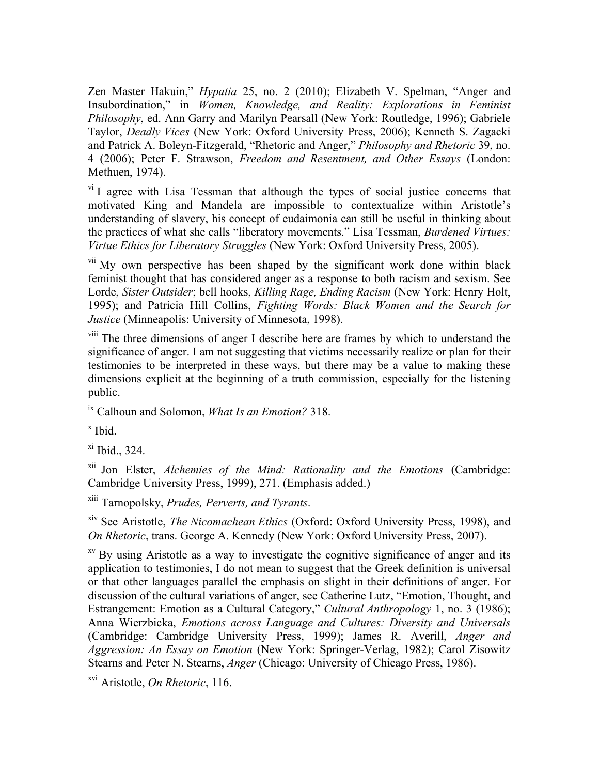<u> 1989 - Andrea San Andrea San Andrea San Andrea San Andrea San Andrea San Andrea San Andrea San Andrea San An</u> Zen Master Hakuin," *Hypatia* 25, no. 2 (2010); Elizabeth V. Spelman, "Anger and Insubordination," in *Women, Knowledge, and Reality: Explorations in Feminist Philosophy*, ed. Ann Garry and Marilyn Pearsall (New York: Routledge, 1996); Gabriele Taylor, *Deadly Vices* (New York: Oxford University Press, 2006); Kenneth S. Zagacki and Patrick A. Boleyn-Fitzgerald, "Rhetoric and Anger," *Philosophy and Rhetoric* 39, no. 4 (2006); Peter F. Strawson, *Freedom and Resentment, and Other Essays* (London: Methuen, 1974).

 $v<sup>i</sup>$  I agree with Lisa Tessman that although the types of social justice concerns that motivated King and Mandela are impossible to contextualize within Aristotle's understanding of slavery, his concept of eudaimonia can still be useful in thinking about the practices of what she calls "liberatory movements." Lisa Tessman, *Burdened Virtues: Virtue Ethics for Liberatory Struggles* (New York: Oxford University Press, 2005).

<sup>vii</sup> My own perspective has been shaped by the significant work done within black feminist thought that has considered anger as a response to both racism and sexism. See Lorde, *Sister Outsider*; bell hooks, *Killing Rage, Ending Racism* (New York: Henry Holt, 1995); and Patricia Hill Collins, *Fighting Words: Black Women and the Search for Justice* (Minneapolis: University of Minnesota, 1998).

viii The three dimensions of anger I describe here are frames by which to understand the significance of anger. I am not suggesting that victims necessarily realize or plan for their testimonies to be interpreted in these ways, but there may be a value to making these dimensions explicit at the beginning of a truth commission, especially for the listening public.

ix Calhoun and Solomon, *What Is an Emotion?* 318.

<sup>x</sup> Ibid.

 $\frac{\text{xi}}{\text{N}}$  Ibid., 324.

xii Jon Elster, *Alchemies of the Mind: Rationality and the Emotions* (Cambridge: Cambridge University Press, 1999), 271. (Emphasis added.)

xiii Tarnopolsky, *Prudes, Perverts, and Tyrants*.

xiv See Aristotle, *The Nicomachean Ethics* (Oxford: Oxford University Press, 1998), and *On Rhetoric*, trans. George A. Kennedy (New York: Oxford University Press, 2007).

 $X<sup>xv</sup>$  By using Aristotle as a way to investigate the cognitive significance of anger and its application to testimonies, I do not mean to suggest that the Greek definition is universal or that other languages parallel the emphasis on slight in their definitions of anger. For discussion of the cultural variations of anger, see Catherine Lutz, "Emotion, Thought, and Estrangement: Emotion as a Cultural Category," *Cultural Anthropology* 1, no. 3 (1986); Anna Wierzbicka, *Emotions across Language and Cultures: Diversity and Universals* (Cambridge: Cambridge University Press, 1999); James R. Averill, *Anger and Aggression: An Essay on Emotion* (New York: Springer-Verlag, 1982); Carol Zisowitz Stearns and Peter N. Stearns, *Anger* (Chicago: University of Chicago Press, 1986).

xvi Aristotle, *On Rhetoric*, 116.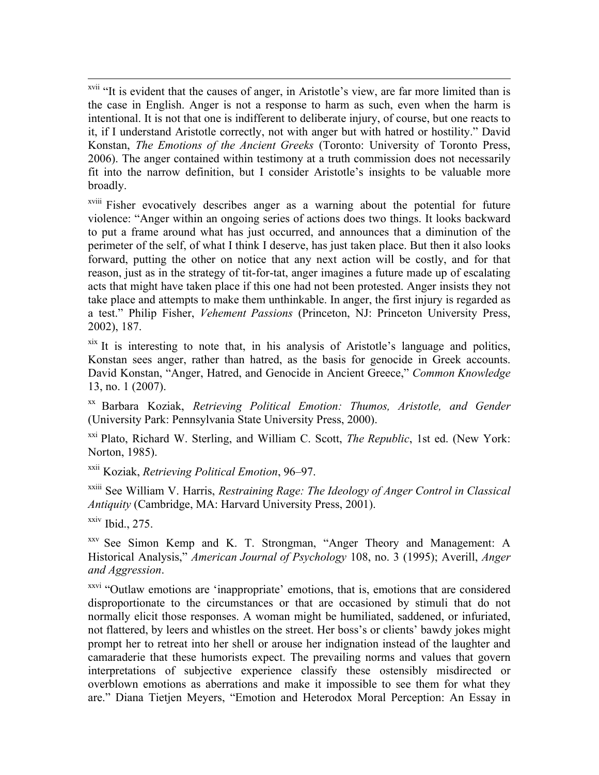<sup>xvii</sup> "It is evident that the causes of anger, in Aristotle's view, are far more limited than is the case in English. Anger is not a response to harm as such, even when the harm is intentional. It is not that one is indifferent to deliberate injury, of course, but one reacts to it, if I understand Aristotle correctly, not with anger but with hatred or hostility." David Konstan, *The Emotions of the Ancient Greeks* (Toronto: University of Toronto Press, 2006). The anger contained within testimony at a truth commission does not necessarily fit into the narrow definition, but I consider Aristotle's insights to be valuable more broadly.

xviii Fisher evocatively describes anger as a warning about the potential for future violence: "Anger within an ongoing series of actions does two things. It looks backward to put a frame around what has just occurred, and announces that a diminution of the perimeter of the self, of what I think I deserve, has just taken place. But then it also looks forward, putting the other on notice that any next action will be costly, and for that reason, just as in the strategy of tit-for-tat, anger imagines a future made up of escalating acts that might have taken place if this one had not been protested. Anger insists they not take place and attempts to make them unthinkable. In anger, the first injury is regarded as a test." Philip Fisher, *Vehement Passions* (Princeton, NJ: Princeton University Press, 2002), 187.

 $\frac{x}{x}$  It is interesting to note that, in his analysis of Aristotle's language and politics, Konstan sees anger, rather than hatred, as the basis for genocide in Greek accounts. David Konstan, "Anger, Hatred, and Genocide in Ancient Greece," *Common Knowledge* 13, no. 1 (2007).

xx Barbara Koziak, *Retrieving Political Emotion: Thumos, Aristotle, and Gender* (University Park: Pennsylvania State University Press, 2000).

xxi Plato, Richard W. Sterling, and William C. Scott, *The Republic*, 1st ed. (New York: Norton, 1985).

xxii Koziak, *Retrieving Political Emotion*, 96–97.

xxiii See William V. Harris, *Restraining Rage: The Ideology of Anger Control in Classical Antiquity* (Cambridge, MA: Harvard University Press, 2001).

 $xxiv$  Ibid., 275.

xxv See Simon Kemp and K. T. Strongman, "Anger Theory and Management: A Historical Analysis," *American Journal of Psychology* 108, no. 3 (1995); Averill, *Anger and Aggression*.

xxvi "Outlaw emotions are 'inappropriate' emotions, that is, emotions that are considered disproportionate to the circumstances or that are occasioned by stimuli that do not normally elicit those responses. A woman might be humiliated, saddened, or infuriated, not flattered, by leers and whistles on the street. Her boss's or clients' bawdy jokes might prompt her to retreat into her shell or arouse her indignation instead of the laughter and camaraderie that these humorists expect. The prevailing norms and values that govern interpretations of subjective experience classify these ostensibly misdirected or overblown emotions as aberrations and make it impossible to see them for what they are." Diana Tietjen Meyers, "Emotion and Heterodox Moral Perception: An Essay in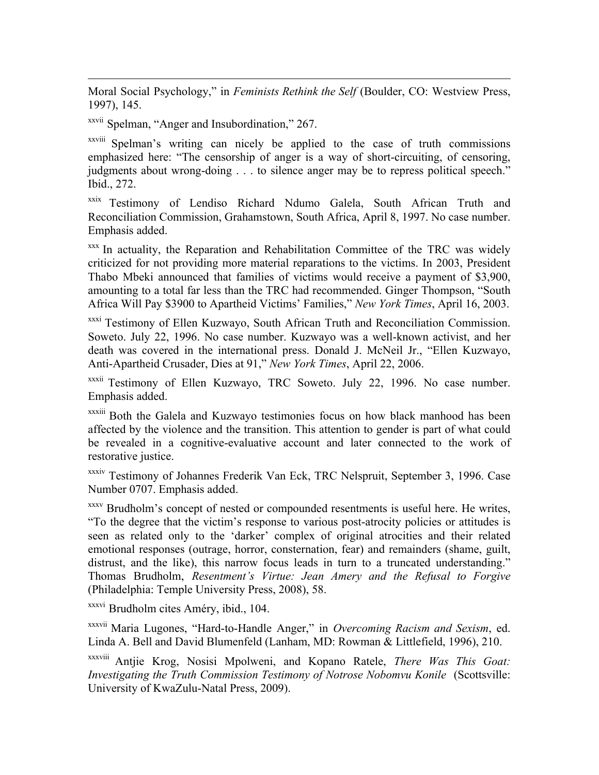Moral Social Psychology," in *Feminists Rethink the Self* (Boulder, CO: Westview Press, 1997), 145.

<u> 1989 - Andrea San Andrea San Andrea San Andrea San Andrea San Andrea San Andrea San Andrea San Andrea San An</u>

xxvii Spelman, "Anger and Insubordination," 267.

xxviii Spelman's writing can nicely be applied to the case of truth commissions emphasized here: "The censorship of anger is a way of short-circuiting, of censoring, judgments about wrong-doing . . . to silence anger may be to repress political speech." Ibid., 272.

xxix Testimony of Lendiso Richard Ndumo Galela, South African Truth and Reconciliation Commission, Grahamstown, South Africa, April 8, 1997. No case number. Emphasis added.

 $xxx$  In actuality, the Reparation and Rehabilitation Committee of the TRC was widely criticized for not providing more material reparations to the victims. In 2003, President Thabo Mbeki announced that families of victims would receive a payment of \$3,900, amounting to a total far less than the TRC had recommended. Ginger Thompson, "South Africa Will Pay \$3900 to Apartheid Victims' Families," *New York Times*, April 16, 2003.

xxxi Testimony of Ellen Kuzwayo, South African Truth and Reconciliation Commission. Soweto. July 22, 1996. No case number. Kuzwayo was a well-known activist, and her death was covered in the international press. Donald J. McNeil Jr., "Ellen Kuzwayo, Anti-Apartheid Crusader, Dies at 91," *New York Times*, April 22, 2006.

xxxii Testimony of Ellen Kuzwayo, TRC Soweto. July 22, 1996. No case number. Emphasis added.

xxxiii Both the Galela and Kuzwayo testimonies focus on how black manhood has been affected by the violence and the transition. This attention to gender is part of what could be revealed in a cognitive-evaluative account and later connected to the work of restorative justice.

xxxiv Testimony of Johannes Frederik Van Eck, TRC Nelspruit, September 3, 1996. Case Number 0707. Emphasis added.

xxxv Brudholm's concept of nested or compounded resentments is useful here. He writes, "To the degree that the victim's response to various post-atrocity policies or attitudes is seen as related only to the 'darker' complex of original atrocities and their related emotional responses (outrage, horror, consternation, fear) and remainders (shame, guilt, distrust, and the like), this narrow focus leads in turn to a truncated understanding." Thomas Brudholm, *Resentment's Virtue: Jean Amery and the Refusal to Forgive* (Philadelphia: Temple University Press, 2008), 58.

xxxvi Brudholm cites Améry, ibid., 104.

xxxvii Maria Lugones, "Hard-to-Handle Anger," in *Overcoming Racism and Sexism*, ed. Linda A. Bell and David Blumenfeld (Lanham, MD: Rowman & Littlefield, 1996), 210.

xxxviii Antjie Krog, Nosisi Mpolweni, and Kopano Ratele, *There Was This Goat: Investigating the Truth Commission Testimony of Notrose Nobomvu Konile* (Scottsville: University of KwaZulu-Natal Press, 2009).